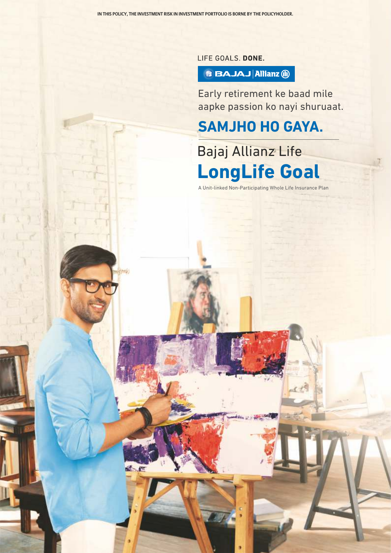LIFE GOALS. DONE.

## **B BAJAJ Allianz M**

Early retirement ke baad mile aapke passion ko nayi shuruaat.

# **SAMJHO HO GAYA.**

# Bajaj Allianz Life **LongLife Goal**

A Unit-linked Non-Participating Whole Life Insurance Plan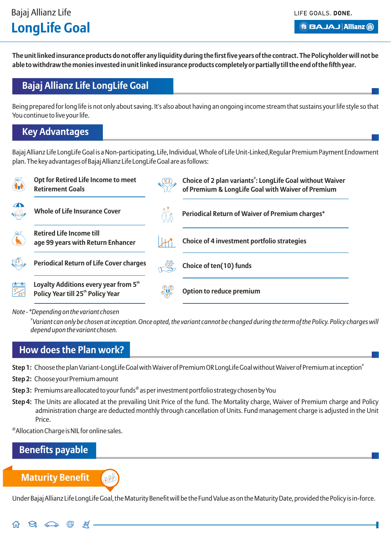LIFE GOALS, DONE.

**B BAJAJ Allianz (ii)** 

**The unit linked insurance products do not offer any liquidity during the first five years of the contract. The Policyholder will not be able to withdraw the monies invested in unit linked insurance products completely or partially till the end of the fifth year.**

## **Bajaj Allianz Life LongLife Goal**

Being prepared for long life is not only about saving. It's also about having an ongoing income stream that sustains your life style so that You continue to live your life.

## **Key Advantages**

Bajaj Allianz Life LongLife Goal is a Non-participating, Life, Individual, Whole of Life Unit-Linked,Regular Premium Payment Endowment plan. The key advantages of Bajaj Allianz Life LongLife Goal are as follows:



*Note - \*Depending on the variant chosen*

*# Variant can only be chosen at inception. Once opted, the variant cannot be changed during the term of the Policy. Policy charges will depend upon the variant chosen.*

## **How does the Plan work?**

Step 1: Choose the plan Variant-LongLife Goal with Waiver of Premium OR LongLife Goal without Waiver of Premium at inception<sup>\*</sup>

**Step 2:** Choose your Premium amount

- **Step 3:** Premiums are allocated to your funds® as per investment portfolio strategy chosen by You
- **Step 4:** The Units are allocated at the prevailing Unit Price of the fund. The Mortality charge, Waiver of Premium charge and Policy administration charge are deducted monthly through cancellation of Units. Fund management charge is adjusted in the Unit Price.

@ Allocation Charge is NIL for online sales.

 $\mathbb{Z}$ 

.≢⁄.

## **Benefits payable**

**Maturity Benefit**

 $\Theta$   $\widehat{\Longleftrightarrow}$   $\stackrel{\oplus}{\oplus}$ 

슈

Under Bajaj Allianz Life LongLife Goal, the Maturity Benefit will be the Fund Value as on the Maturity Date, provided the Policy is in-force.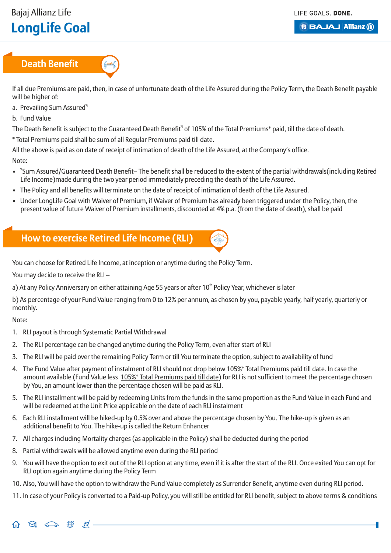LIFE GOALS, DONE.

**BBAJAJ Allianz (ii)** 

## **Death Benefit**



If all due Premiums are paid, then, in case of unfortunate death of the Life Assured during the Policy Term, the Death Benefit payable will be higher of:

- a. Prevailing Sum Assured<sup>®</sup>
- b. Fund Value

The Death Benefit is subject to the Guaranteed Death Benefit<sup>®</sup> of 105% of the Total Premiums\* paid, till the date of death.

\* Total Premiums paid shall be sum of all Regular Premiums paid till date.

All the above is paid as on date of receipt of intimation of death of the Life Assured, at the Company's office.

Note:

- <sup>\*</sup>Sum Assured/Guaranteed Death Benefit– The benefit shall be reduced to the extent of the partial withdrawals(including Retired Life Income)made during the two year period immediately preceding the death of the Life Assured.
- The Policy and all benefits will terminate on the date of receipt of intimation of death of the Life Assured.
- Under LongLife Goal with Waiver of Premium, if Waiver of Premium has already been triggered under the Policy, then, the present value of future Waiver of Premium installments, discounted at 4% p.a. (from the date of death), shall be paid

## **How to exercise Retired Life Income (RLI)**



You can choose for Retired Life Income, at inception or anytime during the Policy Term.

You may decide to receive the RLI –

 $\Theta$   $\Longleftrightarrow$   $\circledast$ 

 $\mathcal{F}$ .

a) At any Policy Anniversary on either attaining Age 55 years or after 10<sup>th</sup> Policy Year, whichever is later

b) As percentage of your Fund Value ranging from 0 to 12% per annum, as chosen by you, payable yearly, half yearly, quarterly or monthly.

Note:

- 1. RLI payout is through Systematic Partial Withdrawal
- 2. The RLI percentage can be changed anytime during the Policy Term, even after start of RLI
- 3. The RLI will be paid over the remaining Policy Term or till You terminate the option, subject to availability of fund
- 4. The Fund Value after payment of instalment of RLI should not drop below 105%\* Total Premiums paid till date. In case the amount available (Fund Value less 105%\* Total Premiums paid till date) for RLI is not sufficient to meet the percentage chosen by You, an amount lower than the percentage chosen will be paid as RLI.
- 5. The RLI installment will be paid by redeeming Units from the funds in the same proportion as the Fund Value in each Fund and will be redeemed at the Unit Price applicable on the date of each RLI instalment
- 6. Each RLI installment will be hiked-up by 0.5% over and above the percentage chosen by You. The hike-up is given as an additional benefit to You. The hike-up is called the Return Enhancer
- 7. All charges including Mortality charges (as applicable in the Policy) shall be deducted during the period
- 8. Partial withdrawals will be allowed anytime even during the RLI period
- 9. You will have the option to exit out of the RLI option at any time, even if it is after the start of the RLI. Once exited You can opt for RLI option again anytime during the Policy Term
- 10. Also, You will have the option to withdraw the Fund Value completely as Surrender Benefit, anytime even during RLI period.
- 11. In case of your Policy is converted to a Paid-up Policy, you will still be entitled for RLI benefit, subject to above terms & conditions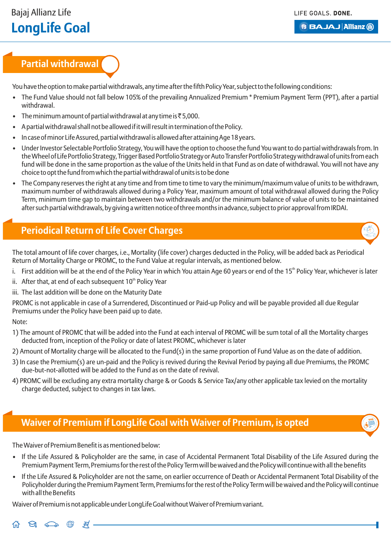#### **B BAJAJ Allianz (ii)**

## **Partial withdrawal**

You have the option to make partial withdrawals, any time after the fifth Policy Year, subject to the following conditions:

- The Fund Value should not fall below 105% of the prevailing Annualized Premium \* Premium Payment Term (PPT), after a partial withdrawal.
- The minimum amount of partial withdrawal at any time is  $\bar{z}$ 5,000.
- A partial withdrawal shall not be allowed if it will result in termination of the Policy.
- In case of minor Life Assured, partial withdrawal is allowed after attaining Age 18 years.
- Under Investor Selectable Portfolio Strategy, You will have the option to choose the fund You want to do partial withdrawals from. In the Wheel of Life Portfolio Strategy, Trigger Based Portfolio Strategy or Auto Transfer Portfolio Strategy withdrawal of units from each fund will be done in the same proportion as the value of the Units held in that Fund as on date of withdrawal. You will not have any choice to opt the fund from which the partial withdrawal of units is to be done
- The Company reserves the right at any time and from time to time to vary the minimum/maximum value of units to be withdrawn, maximum number of withdrawals allowed during a Policy Year, maximum amount of total withdrawal allowed during the Policy Term, minimum time gap to maintain between two withdrawals and/or the minimum balance of value of units to be maintained after such partial withdrawals, by giving a written notice of three months in advance, subject to prior approval from IRDAI.

## **Periodical Return of Life Cover Charges**

The total amount of life cover charges, i.e., Mortality (life cover) charges deducted in the Policy, will be added back as Periodical Return of Mortality Charge or PROMC, to the Fund Value at regular intervals, as mentioned below.

- i. First addition will be at the end of the Policy Year in which You attain Age 60 years or end of the 15<sup>th</sup> Policy Year, whichever is later
- ii. After that, at end of each subsequent  $10<sup>th</sup>$  Policy Year
- iii. The last addition will be done on the Maturity Date

PROMC is not applicable in case of a Surrendered, Discontinued or Paid-up Policy and will be payable provided all due Regular Premiums under the Policy have been paid up to date.

#### Note:

- 1) The amount of PROMC that will be added into the Fund at each interval of PROMC will be sum total of all the Mortality charges deducted from, inception of the Policy or date of latest PROMC, whichever is later
- 2) Amount of Mortality charge will be allocated to the Fund(s) in the same proportion of Fund Value as on the date of addition.
- 3) In case the Premium(s) are un-paid and the Policy is revived during the Revival Period by paying all due Premiums, the PROMC due-but-not-allotted will be added to the Fund as on the date of revival.
- 4) PROMC will be excluding any extra mortality charge & or Goods & Service Tax/any other applicable tax levied on the mortality charge deducted, subject to changes in tax laws.

## **Waiver of Premium if LongLife Goal with Waiver of Premium, is opted**

The Waiver of Premium Benefit is as mentioned below:

- If the Life Assured & Policyholder are the same, in case of Accidental Permanent Total Disability of the Life Assured during the Premium Payment Term, Premiums for the rest of the Policy Term will be waived and the Policy will continue with all the benefits
- If the Life Assured & Policyholder are not the same, on earlier occurrence of Death or Accidental Permanent Total Disability of the Policyholder during the Premium Payment Term, Premiums for the rest of the Policy Term will be waived and the Policy will continue with all the Benefits

Waiver of Premium is not applicable under LongLife Goal without Waiver of Premium variant.



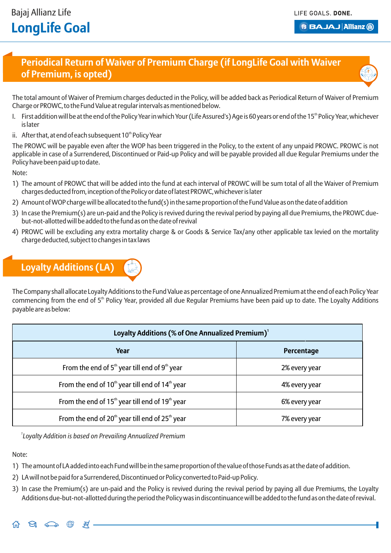## **Periodical Return of Waiver of Premium Charge (if LongLife Goal with Waiver of Premium, is opted)**



The total amount of Waiver of Premium charges deducted in the Policy, will be added back as Periodical Return of Waiver of Premium Charge or PROWC, to the Fund Value at regular intervals as mentioned below.

- I. First addition will be at the end of the Policy Year in which Your (Life Assured's) Age is 60 years or end of the 15<sup>th</sup> Policy Year, whichever is later
- ii. After that, at end of each subsequent  $10<sup>th</sup>$  Policy Year

The PROWC will be payable even after the WOP has been triggered in the Policy, to the extent of any unpaid PROWC. PROWC is not applicable in case of a Surrendered, Discontinued or Paid-up Policy and will be payable provided all due Regular Premiums under the Policy have been paid up to date.

Note:

- 1) The amount of PROWC that will be added into the fund at each interval of PROWC will be sum total of all the Waiver of Premium charges deducted from, inception of the Policy or date of latest PROWC, whichever is later
- 2) Amount of WOP charge will be allocated to the fund(s) in the same proportion of the Fund Value as on the date of addition
- 3) In case the Premium(s) are un-paid and the Policy is revived during the revival period by paying all due Premiums, the PROWC duebut-not-allotted will be added to the fund as on the date of revival
- 4) PROWC will be excluding any extra mortality charge & or Goods & Service Tax/any other applicable tax levied on the mortality charge deducted, subject to changes in tax laws

# **Loyalty Additions (LA)**

The Company shall allocate Loyalty Additions to the Fund Value as percentage of one Annualized Premium at the end of each Policy Year commencing from the end of 5<sup>th</sup> Policy Year, provided all due Regular Premiums have been paid up to date. The Loyalty Additions payable are as below:

| Loyalty Additions (% of One Annualized Premium) <sup>1</sup> |               |  |
|--------------------------------------------------------------|---------------|--|
| Year                                                         | Percentage    |  |
| From the end of $5th$ year till end of $9th$ year            | 2% every year |  |
| From the end of $10th$ year till end of $14th$ year          | 4% every year |  |
| From the end of $15th$ year till end of $19th$ year          | 6% every year |  |
| From the end of $20th$ year till end of $25th$ year          | 7% every year |  |

*1 Loyalty Addition is based on Prevailing Annualized Premium*

ੜ

Note:

- 1) The amount of LA added into each Fund will be in the same proportion of the value of those Funds as at the date of addition.
- 2) LA will not be paid for a Surrendered, Discontinued or Policy converted to Paid-up Policy.
- 3) In case the Premium(s) are un-paid and the Policy is revived during the revival period by paying all due Premiums, the Loyalty Additions due-but-not-allotted during the period the Policy was in discontinuance will be added to the fund as on the date of revival.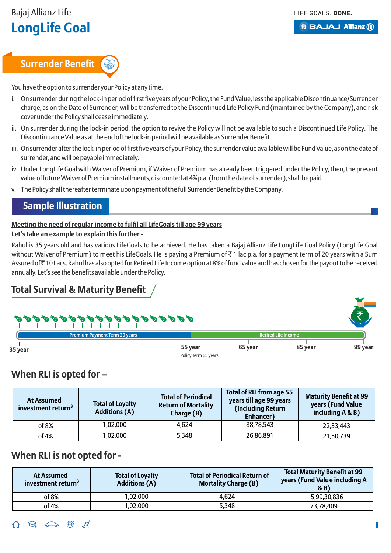# **Surrender Benefit**

You have the option to surrender your Policy at any time.

- i. On surrender during the lock-in period of first five years of your Policy, the Fund Value, less the applicable Discontinuance/Surrender charge, as on the Date of Surrender, will be transferred to the Discontinued Life Policy Fund (maintained by the Company), and risk cover under the Policy shall cease immediately.
- ii. On surrender during the lock-in period, the option to revive the Policy will not be available to such a Discontinued Life Policy. The Discontinuance Value as at the end of the lock-in period will be available as Surrender Benefit
- iii. On surrender after the lock-in period of first five years of your Policy, the surrender value available will be Fund Value, as on the date of surrender, and will be payable immediately.
- iv. Under LongLife Goal with Waiver of Premium, if Waiver of Premium has already been triggered under the Policy, then, the present value of future Waiver of Premium installments, discounted at 4% p.a. (from the date of surrender), shall be paid
- v. The Policy shall thereafter terminate upon payment of the full Surrender Benefit by the Company.

## **Sample Illustration**

#### **Meeting the need of regular income to fulfil all LifeGoals till age 99 years Let's take an example to explain this further -**

Rahul is 35 years old and has various LifeGoals to be achieved. He has taken a Bajaj Allianz Life LongLife Goal Policy (LongLife Goal without Waiver of Premium) to meet his LifeGoals. He is paying a Premium of  $\bar{\tau}$  1 lac p.a. for a payment term of 20 years with a Sum Assured of ` 10 Lacs. Rahul has also opted for Retired Life Income option at 8% of fund value and has chosen for the payout to be received annually. Let's see the benefits available under the Policy.

## **Total Survival & Maturity Benefit**

|         | Premium Payment Term 20 years |                      |         | <b>Retired Life Income</b> |         |
|---------|-------------------------------|----------------------|---------|----------------------------|---------|
| 35 year |                               | 55 year              | 65 year | 85 year                    | 99 year |
|         |                               | Policy Term 65 years |         |                            |         |

## **When RLI is opted for –**

| At Assumed<br>investment return <sup>3</sup> | <b>Total of Loyalty</b><br><b>Additions (A)</b> | <b>Total of Periodical</b><br><b>Return of Mortality</b><br>Charge $(B)$ | <b>Total of RLI from age 55</b><br>years till age 99 years<br>(Including Return<br>Enhancer) | <b>Maturity Benefit at 99</b><br>years (Fund Value<br>including A & B) |
|----------------------------------------------|-------------------------------------------------|--------------------------------------------------------------------------|----------------------------------------------------------------------------------------------|------------------------------------------------------------------------|
| of 8%                                        | 1,02,000                                        | 4,624                                                                    | 88,78,543                                                                                    | 22,33,443                                                              |
| of 4%                                        | 1,02,000                                        | 5,348                                                                    | 26,86,891                                                                                    | 21,50,739                                                              |

## **When RLI is not opted for -**

| At Assumed<br>investment return <sup>3</sup> | <b>Total of Loyalty</b><br><b>Additions (A)</b> | <b>Total of Periodical Return of</b><br><b>Mortality Charge (B)</b> | <b>Total Maturity Benefit at 99</b><br>years (Fund Value including A<br>(B) |
|----------------------------------------------|-------------------------------------------------|---------------------------------------------------------------------|-----------------------------------------------------------------------------|
| of 8%                                        | 1,02,000                                        | 4,624                                                               | 5,99,30,836                                                                 |
| of 4%                                        | ,02,000                                         | 5,348                                                               | 73,78,409                                                                   |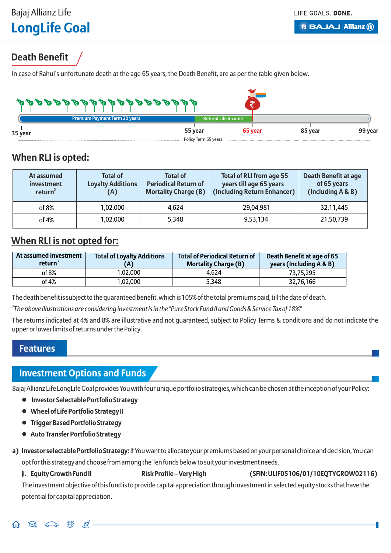**B BAJAJ Allianz (ii)** 

## **Death Benefit**

In case of Rahul's unfortunate death at the age 65 years, the Death Benefit, are as per the table given below.



## **When RLI is opted:**

| At assumed<br>investment<br>return <sup>3</sup> | <b>Total of</b><br><b>Loyalty Additions</b><br>(A) | <b>Total of</b><br><b>Periodical Return of</b><br><b>Mortality Charge (B)</b> | <b>Total of RLI from age 55</b><br>years till age 65 years<br>(Including Return Enhancer) | Death Benefit at age<br>of 65 years<br>(Including A & B) |
|-------------------------------------------------|----------------------------------------------------|-------------------------------------------------------------------------------|-------------------------------------------------------------------------------------------|----------------------------------------------------------|
| of 8%                                           | 1,02,000                                           | 4,624                                                                         | 29,04,981                                                                                 | 32,11,445                                                |
| of 4%                                           | 1.02.000                                           | 5,348                                                                         | 9,53,134                                                                                  | 21,50,739                                                |

## **When RLI is not opted for:**

| At assumed investment<br>return <sup>3</sup> | <b>Total of Loyalty Additions</b><br>'A) | <b>Total of Periodical Return of</b><br><b>Mortality Charge (B)</b> | Death Benefit at age of 65<br>years (Including A & B) |
|----------------------------------------------|------------------------------------------|---------------------------------------------------------------------|-------------------------------------------------------|
| of 8%                                        | 1.02.000                                 | 4.624                                                               | 73.75.295                                             |
| of 4%                                        | 1.02.000                                 | 5.348                                                               | 32.76.166                                             |

The death benefit is subject to the guaranteed benefit, which is 105% of the total premiums paid, till the date of death.

*3 The above illustrations are considering investment is in the "Pure Stock Fund II and Goods & Service Tax of 18%"*

The returns indicated at 4% and 8% are illustrative and not guaranteed, subject to Policy Terms & conditions and do not indicate the upper or lower limits of returns under the Policy.

#### **Features**

## **Investment Options and Funds**

ਥ

Bajaj Allianz Life LongLife Goal provides You with four unique portfolio strategies, which can be chosen at the inception of your Policy:

- **Investor Selectable Portfolio Strategy**
- **Wheel of Life Portfolio Strategy II**
- **Trigger Based Portfolio Strategy**
- **Auto Transfer Portfolio Strategy**
- **a) Investor selectable Portfolio Strategy:** If You want to allocate your premiums based on your personal choice and decision, You can opt for this strategy and choose from among the Ten funds below to suit your investment needs.
	- |**i. Equity Growth Fund II Risk Profile Very High (SFIN: ULIF05106/01/10EQTYGROW02116)**

The investment objective of this fund is to provide capital appreciation through investment in selected equity stocks that have the potential for capital appreciation.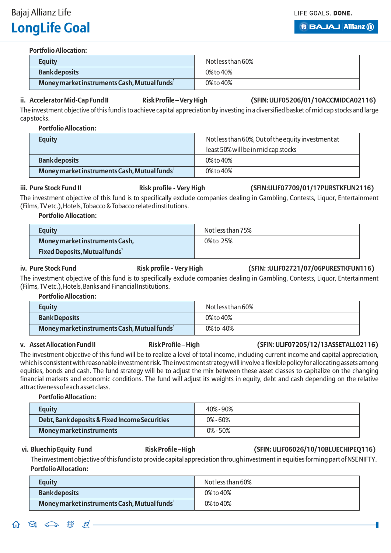Bajaj Allianz Life

# **LongLife Goal**

LIFE GOALS, DONE. **B BAJAJ Allianz (ii)** 

#### **Portfolio Allocation:**

| <b>Equity</b>                                            | Not less than 60% |
|----------------------------------------------------------|-------------------|
| <b>Bank deposits</b>                                     | 0% to 40%         |
| Money market instruments Cash, Mutual funds <sup>1</sup> | 0% to 40%         |

#### ii. Accelerator Mid-Cap Fund II **Risk Profile – Very High** (SFIN: ULIF05206/01/10ACCMIDCA02116)

The investment objective of this fund is to achieve capital appreciation by investing in a diversified basket of mid cap stocks and large cap stocks.

**Portfolio Allocation:** 

| <b>Equity</b>                                            | Not less than 60%, Out of the equity investment at |
|----------------------------------------------------------|----------------------------------------------------|
|                                                          | least 50% will be in mid cap stocks                |
| <b>Bank deposits</b>                                     | 0% to 40%                                          |
| Money market instruments Cash, Mutual funds <sup>1</sup> | 0% to 40%                                          |

iii. Pure Stock Fund II **Risk profile - Very High (SFIN:ULIF07709/01/17PURSTKFUN2116)** 

The investment objective of this fund is to specifically exclude companies dealing in Gambling, Contests, Liquor, Entertainment (Films, TV etc.), Hotels, Tobacco & Tobacco related institutions.

**Portfolio Allocation:**

| <b>Equity</b>                                    | Not less than 75% |
|--------------------------------------------------|-------------------|
| Money market instruments Cash,                   | 0% to 25%         |
| <b>Fixed Deposits, Mutual funds</b> <sup>1</sup> |                   |

#### **iv. Pure Stock Fund Risk profile - Very High (SFIN: :ULIF02721/07/06PURESTKFUN116)**

The investment objective of this fund is to specifically exclude companies dealing in Gambling, Contests, Liquor, Entertainment (Films, TV etc.), Hotels, Banks and Financial Institutions.

#### **Portfolio Allocation:**

| <b>Equity</b>                                | Not less than 60% |
|----------------------------------------------|-------------------|
| <b>Bank Deposits</b>                         | 0% to 40%         |
| Money market instruments Cash, Mutual funds' | 0%to 40%          |

#### v. Asset Allocation Fund II **Risk Profile – High** (SFIN: ULIF07205/12/13ASSETALL02116)

The investment objective of this fund will be to realize a level of total income, including current income and capital appreciation, which is consistent with reasonable investment risk. The investment strategy will involve a flexible policy for allocating assets among equities, bonds and cash. The fund strategy will be to adjust the mix between these asset classes to capitalize on the changing financial markets and economic conditions. The fund will adjust its weights in equity, debt and cash depending on the relative attractiveness of each asset class.

#### **Portfolio Allocation:**

| <b>Equity</b>                                 | 40%-90%      |
|-----------------------------------------------|--------------|
| Debt, Bank deposits & Fixed Income Securities | $0\% - 60\%$ |
| <b>Money market instruments</b>               | $0\% - 50\%$ |

#### vi. Bluechip Equity Fund **Risk Profile – High (SFIN: ULIF06026/10/10BLUECHIPEO116)**

The investment objective of this fund is to provide capital appreciation through investment in equities forming part of NSE NIFTY. **Portfolio Allocation:**

| <b>Equity</b>                                            | Not less than 60% |
|----------------------------------------------------------|-------------------|
| <b>Bank deposits</b>                                     | 0% to 40%         |
| Money market instruments Cash, Mutual funds <sup>1</sup> | 0% to 40%         |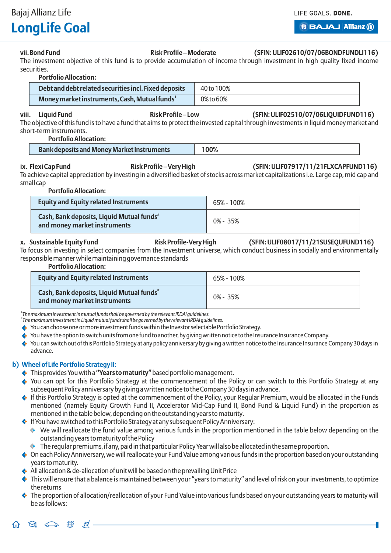Bajaj Allianz Life

# **LongLife Goal**

**B BAJAJ Allianz (ii)** 

#### vii. Bond Fund **Risk Profile – Moderate** (SFIN: ULIF02610/07/06BONDFUNDLI116)

The investment objective of this fund is to provide accumulation of income through investment in high quality fixed income securities.

#### **Portfolio Allocation:**

| Debt and debt related securities incl. Fixed deposits     | 40 to 100% |
|-----------------------------------------------------------|------------|
| Money market instruments, Cash, Mutual funds <sup>1</sup> | 0% to 60%  |

**viii. Liquid Fund Risk Profile – Low (SFIN: ULIF02510/07/06LIQUIDFUND116)**

The objective of this fund is to have a fund that aims to protect the invested capital through investments in liquid money market and short-term instruments.

|  | <b>Portfolio Allocation:</b> |  |
|--|------------------------------|--|
|  |                              |  |

|--|

**ix. Flexi Cap Fund Risk Profile – Very High (SFIN: ULIF07917/11/21FLXCAPFUND116)** To achieve capital appreciation by investing in a diversified basket of stocks across market capitalizations i.e. Large cap, mid cap and

## small cap **Portfolio Allocation:**

| <b>Equity and Equity related Instruments</b>                                          | 65% - 100% |
|---------------------------------------------------------------------------------------|------------|
| Cash, Bank deposits, Liquid Mutual funds <sup>#</sup><br>and money market instruments | 0% - 35%   |

**x. Sustainable Equity Fund Risk Profile-Very High (SFIN: ULIF08017/11/21SUSEQUFUND116)**

To focus on investing in select companies from the Investment universe, which conduct business in socially and environmentally responsible manner while maintaining governance standards

#### **Portfolio Allocation:**

| <b>Equity and Equity related Instruments</b>                                          | 65% - 100%   |
|---------------------------------------------------------------------------------------|--------------|
| Cash, Bank deposits, Liquid Mutual funds <sup>#</sup><br>and money market instruments | $0\% - 35\%$ |

*1 The maximum investment in mutual funds shall be governed by the relevant IRDAI guidelines.*

*# The maximum investment in Liquid mutual funds shall be governed by the relevant IRDAI guidelines.*

- You can choose one or more investment funds within the Investor selectable Portfolio Strategy.
- $\leftrightarrow$  You have the option to switch units from one fund to another, by giving written notice to the Insurance Insurance Company.
- You can switch out of this Portfolio Strategy at any policy anniversary by giving a written notice to the Insurance Insurance Company 30 days in advance.

#### **b) Wheel of Life Portfolio Strategy II:**

- This provides You with a **"Years to maturity"**based portfolio management.
- You can opt for this Portfolio Strategy at the commencement of the Policy or can switch to this Portfolio Strategy at any subsequent Policy anniversary by giving a written notice to the Company 30 days in advance.
- $\bullet$  If this Portfolio Strategy is opted at the commencement of the Policy, your Regular Premium, would be allocated in the Funds mentioned (namely Equity Growth Fund II, Accelerator Mid-Cap Fund II, Bond Fund & Liquid Fund) in the proportion as mentioned in the table below, depending on the outstanding years to maturity.
- $\blacklozenge$  If You have switched to this Portfolio Strategy at any subsequent Policy Anniversary:
	- o We will reallocate the fund value among various funds in the proportion mentioned in the table below depending on the outstanding years to maturity of the Policy
	- $\bullet$  The regular premiums, if any, paid in that particular Policy Year will also be allocated in the same proportion.
- On each Policy Anniversary, we will reallocate your Fund Value among various funds in the proportion based on your outstanding years to maturity.
- $\leftrightarrow$  All allocation & de-allocation of unit will be based on the prevailing Unit Price
- $\blacklozenge$  This will ensure that a balance is maintained between your "years to maturity" and level of risk on your investments, to optimize the returns
- $\blacklozenge$  The proportion of allocation/reallocation of your Fund Value into various funds based on your outstanding years to maturity will be as follows:

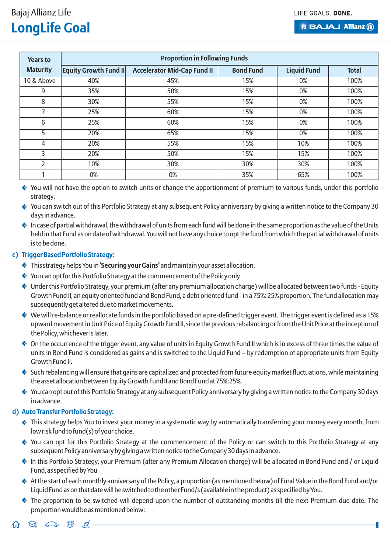| <b>Years to</b> | <b>Proportion in Following Funds</b> |                                    |                  |                    |              |  |
|-----------------|--------------------------------------|------------------------------------|------------------|--------------------|--------------|--|
| <b>Maturity</b> | <b>Equity Growth Fund II</b>         | <b>Accelerator Mid-Cap Fund II</b> | <b>Bond Fund</b> | <b>Liquid Fund</b> | <b>Total</b> |  |
| 10 & Above      | 40%                                  | 45%                                | 15%              | 0%                 | 100%         |  |
| 9               | 35%                                  | 50%                                | 15%              | 0%                 | 100%         |  |
| 8               | 30%                                  | 55%                                | 15%              | 0%                 | 100%         |  |
| $\overline{ }$  | 25%                                  | 60%                                | 15%              | 0%                 | 100%         |  |
| 6               | 25%                                  | 60%                                | 15%              | 0%                 | 100%         |  |
| 5               | 20%                                  | 65%                                | 15%              | 0%                 | 100%         |  |
| 4               | 20%                                  | 55%                                | 15%              | 10%                | 100%         |  |
| 3               | 20%                                  | 50%                                | 15%              | 15%                | 100%         |  |
| 2               | 10%                                  | 30%                                | 30%              | 30%                | 100%         |  |
|                 | 0%                                   | 0%                                 | 35%              | 65%                | 100%         |  |

• You will not have the option to switch units or change the apportionment of premium to various funds, under this portfolio strategy.

 $\leftrightarrow$  You can switch out of this Portfolio Strategy at any subsequent Policy anniversary by giving a written notice to the Company 30 days in advance.

 $\bullet$  In case of partial withdrawal, the withdrawal of units from each fund will be done in the same proportion as the value of the Units held in that Fund as on date of withdrawal. You will not have any choice to opt the fund from which the partial withdrawal of units is to be done.

#### **c) Trigger Based Portfolio Strategy:**

- This strategy helps You in **'Securing your Gains'** and maintain your asset allocation.
- You can opt for this Portfolio Strategy at the commencement of the Policy only
- Under this Portfolio Strategy, your premium (after any premium allocation charge) will be allocated between two funds Equity Growth Fund II, an equity oriented fund and Bond Fund, a debt oriented fund - in a 75%: 25% proportion. The fund allocation may subsequently get altered due to market movements.
- We will re-balance or reallocate funds in the portfolio based on a pre-defined trigger event. The trigger event is defined as a 15% upward movement in Unit Price of Equity Growth Fund II, since the previous rebalancing or from the Unit Price at the inception of the Policy, whichever is later.
- On the occurrence of the trigger event, any value of units in Equity Growth Fund II which is in excess of three times the value of units in Bond Fund is considered as gains and is switched to the Liquid Fund – by redemption of appropriate units from Equity Growth Fund II.
- Such rebalancing will ensure that gains are capitalized and protected from future equity market fluctuations, while maintaining the asset allocation between Equity Growth Fund II and Bond Fund at 75%:25%.
- $\leftrightarrow$  You can opt out of this Portfolio Strategy at any subsequent Policy anniversary by giving a written notice to the Company 30 days in advance.

#### **d) Auto Transfer Portfolio Strategy:**

- ◆ This strategy helps You to invest your money in a systematic way by automatically transferring your money every month, from low risk fund to fund(s) of your choice.
- You can opt for this Portfolio Strategy at the commencement of the Policy or can switch to this Portfolio Strategy at any subsequent Policy anniversary by giving a written notice to the Company 30 days in advance.
- In this Portfolio Strategy, your Premium (after any Premium Allocation charge) will be allocated in Bond Fund and / or Liquid Fund, as specified by You
- At the start of each monthly anniversary of the Policy, a proportion (as mentioned below) of Fund Value in the Bond Fund and/or Liquid Fund as on that date will be switched to the other Fund/s (available in the product) as specified by You.
- The proportion to be switched will depend upon the number of outstanding months till the next Premium due date. The proportion would be as mentioned below:

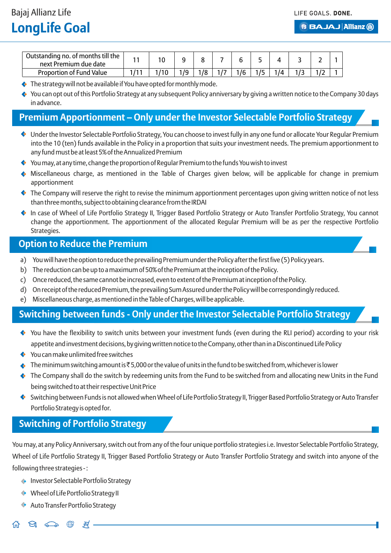| Outstanding no. of months till the<br>next Premium due date |  |    |    |     |  |  |  |
|-------------------------------------------------------------|--|----|----|-----|--|--|--|
| Proportion of Fund Value                                    |  | 79 | 70 | 1/6 |  |  |  |

- $\leftrightarrow$  The strategy will not be available if You have opted for monthly mode.
- You can opt out of this Portfolio Strategy at any subsequent Policy anniversary by giving a written notice to the Company 30 days in advance.

## **Premium Apportionment – Only under the Investor Selectable Portfolio Strategy**

- Under the Investor Selectable Portfolio Strategy, You can choose to invest fully in any one fund or allocate Your Regular Premium into the 10 (ten) funds available in the Policy in a proportion that suits your investment needs. The premium apportionment to any fund must be at least 5% of the Annualized Premium
- You may, at any time, change the proportion of Regular Premium to the funds You wish to invest
- Miscellaneous charge, as mentioned in the Table of Charges given below, will be applicable for change in premium apportionment
- $\bullet$  The Company will reserve the right to revise the minimum apportionment percentages upon giving written notice of not less than three months, subject to obtaining clearance from the IRDAI
- In case of Wheel of Life Portfolio Strategy II, Trigger Based Portfolio Strategy or Auto Transfer Portfolio Strategy, You cannot change the apportionment. The apportionment of the allocated Regular Premium will be as per the respective Portfolio Strategies.

### **Option to Reduce the Premium**

- a) You will have the option to reduce the prevailing Premium under the Policy after the first five (5) Policy years.
- b) The reduction can be up to a maximum of 50% of the Premium at the inception of the Policy.
- c) Once reduced, the same cannot be increased, even to extent of the Premium at inception of the Policy.
- d) On receipt of the reduced Premium, the prevailing Sum Assured under the Policy will be correspondingly reduced.
- e) Miscellaneous charge, as mentioned in the Table of Charges, will be applicable.

## **Switching between funds - Only under the Investor Selectable Portfolio Strategy**

- You have the flexibility to switch units between your investment funds (even during the RLI period) according to your risk appetite and investment decisions, by giving written notice to the Company, other than in a Discontinued Life Policy
- You can make unlimited free switches
- $\leftrightarrow$  The minimum switching amount is  $\bar{\sigma}$  5,000 or the value of units in the fund to be switched from, whichever is lower
- $\bullet$  The Company shall do the switch by redeeming units from the Fund to be switched from and allocating new Units in the Fund being switched to at their respective Unit Price
- Switching between Funds is not allowed when Wheel of Life Portfolio Strategy II, Trigger Based Portfolio Strategy or Auto Transfer Portfolio Strategy is opted for.

## **Switching of Portfolio Strategy**

You may, at any Policy Anniversary, switch out from any of the four unique portfolio strategies i.e. Investor Selectable Portfolio Strategy, Wheel of Life Portfolio Strategy II, Trigger Based Portfolio Strategy or Auto Transfer Portfolio Strategy and switch into anyone of the following three strategies - :

- Investor Selectable Portfolio Strategy
- Wheel of Life Portfolio Strategy II
- Auto Transfer Portfolio Strategy

 $\Theta$  $\bigoplus$  $\mathbb{R}$  . 石  $\sum$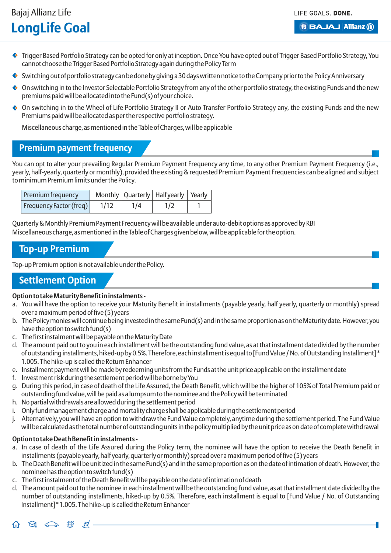LIFE GOALS, DONE.

**B BAJAJ Allianz (ii)** 

- Trigger Based Portfolio Strategy can be opted for only at inception. Once You have opted out of Trigger Based Portfolio Strategy, You cannot choose the Trigger Based Portfolio Strategy again during the Policy Term
- $\bullet$  Switching out of portfolio strategy can be done by giving a 30 days written notice to the Company prior to the Policy Anniversary
- $\bullet$  On switching in to the Investor Selectable Portfolio Strategy from any of the other portfolio strategy, the existing Funds and the new premiums paid will be allocated into the Fund(s) of your choice.
- On switching in to the Wheel of Life Portfolio Strategy II or Auto Transfer Portfolio Strategy any, the existing Funds and the new Premiums paid will be allocated as per the respective portfolio strategy.

Miscellaneous charge, as mentioned in the Table of Charges, will be applicable

### **Premium payment frequency**

You can opt to alter your prevailing Regular Premium Payment Frequency any time, to any other Premium Payment Frequency (i.e., yearly, half-yearly, quarterly or monthly), provided the existing & requested Premium Payment Frequencies can be aligned and subject to minimum Premium limits under the Policy.

| Premium frequency       |      |     | Monthly   Quarterly   Halfyearly   Yearly |  |
|-------------------------|------|-----|-------------------------------------------|--|
| Frequency Factor (freq) | 1/12 | 1/4 | 1/2                                       |  |

Quarterly & Monthly Premium Payment Frequency will be available under auto-debit options as approved by RBI Miscellaneous charge, as mentioned in the Table of Charges given below, will be applicable for the option.

### **Top-up Premium**

Top-up Premium option is not available under the Policy.

## **Settlement Option**

#### **Option to take Maturity Benefit in instalments -**

- a. You will have the option to receive your Maturity Benefit in installments (payable yearly, half yearly, quarterly or monthly) spread over a maximum period of five (5) years
- b. The Policy monies will continue being invested in the same Fund(s) and in the same proportion as on the Maturity date. However, you have the option to switch fund(s)
- c. The first instalment will be payable on the Maturity Date
- d. The amount paid out to you in each installment will be the outstanding fund value, as at that installment date divided by the number of outstanding installments, hiked-up by 0.5%. Therefore, each installment is equal to [Fund Value / No. of Outstanding Installment] \* 1.005. The hike-up is called the Return Enhancer
- e. Installment payment will be made by redeeming units from the Funds at the unit price applicable on the installment date
- f. Investment risk during the settlement period will be borne by You
- g. During this period, in case of death of the Life Assured, the Death Benefit, which will be the higher of 105% of Total Premium paid or outstanding fund value, will be paid as a lumpsum to the nominee and the Policy will be terminated
- h. No partial withdrawals are allowed during the settlement period
- i. Only fund management charge and mortality charge shall be applicable during the settlement period
- j. Alternatively, you will have an option to withdraw the Fund Value completely, anytime during the settlement period. The Fund Value will be calculated as the total number of outstanding units in the policy multiplied by the unit price as on date of complete withdrawal

#### **Option to take Death Benefit in instalments -**

 $\cancel{\approx}$ .

ы

石

- a. In case of death of the Life Assured during the Policy term, the nominee will have the option to receive the Death Benefit in installments (payable yearly, half yearly, quarterly or monthly) spread over a maximum period of five (5) years
- b. The Death Benefit will be unitized in the same Fund(s) and in the same proportion as on the date of intimation of death. However, the nominee has the option to switch fund(s)
- c. The first instalment of the Death Benefit will be payable on the date of intimation of death
- d. The amount paid out to the nominee in each installment will be the outstanding fund value, as at that installment date divided by the number of outstanding installments, hiked-up by 0.5%. Therefore, each installment is equal to [Fund Value / No. of Outstanding Installment] \* 1.005. The hike-up is called the Return Enhancer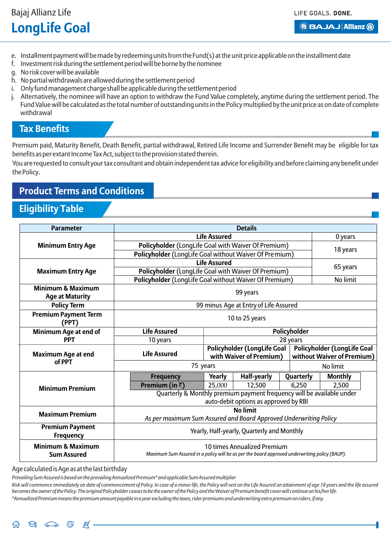**B BAJAJ Allianz (ii)** 

- e. Installment payment will be made by redeeming units from the Fund(s) at the unit price applicable on the installment date
- f. Investment risk during the settlement period will be borne by the nominee
- g. No risk cover will be available
- h. No partial withdrawals are allowed during the settlement period
- i. Only fund management charge shall be applicable during the settlement period
- j. Alternatively, the nominee will have an option to withdraw the Fund Value completely, anytime during the settlement period. The Fund Value will be calculated as the total number of outstanding units in the Policy multiplied by the unit price as on date of complete withdrawal

### **Tax Benefits**

Premium paid, Maturity Benefit, Death Benefit, partial withdrawal, Retired Life Income and Surrender Benefit may be eligible for tax benefits as per extant Income Tax Act, subject to the provision stated therein.

You are requested to consult your tax consultant and obtain independent tax advice for eligibility and before claiming any benefit under the Policy.

## **Product Terms and Conditions**

## **Eligibility Table**

| <b>Parameter</b>                                       |                                                                       | <b>Details</b>                                                                                                               |                                       |           |                                                                  |                |  |
|--------------------------------------------------------|-----------------------------------------------------------------------|------------------------------------------------------------------------------------------------------------------------------|---------------------------------------|-----------|------------------------------------------------------------------|----------------|--|
|                                                        |                                                                       | <b>Life Assured</b>                                                                                                          |                                       |           |                                                                  | 0 years        |  |
| <b>Minimum Entry Age</b>                               | Policyholder (LongLife Goal with Waiver Of Premium)                   |                                                                                                                              |                                       |           |                                                                  | 18 years       |  |
|                                                        | Policyholder (LongLife Goal without Waiver Of Premium)                |                                                                                                                              |                                       |           |                                                                  |                |  |
|                                                        |                                                                       | <b>Life Assured</b>                                                                                                          |                                       |           |                                                                  |                |  |
| <b>Maximum Entry Age</b>                               | Policyholder (LongLife Goal with Waiver Of Premium)                   |                                                                                                                              |                                       |           |                                                                  | 65 years       |  |
|                                                        | Policyholder (LongLife Goal without Waiver Of Premium)                |                                                                                                                              |                                       |           |                                                                  | No limit       |  |
| <b>Minimum &amp; Maximum</b><br><b>Age at Maturity</b> |                                                                       | 99 years                                                                                                                     |                                       |           |                                                                  |                |  |
| <b>Policy Term</b>                                     |                                                                       |                                                                                                                              | 99 minus Age at Entry of Life Assured |           |                                                                  |                |  |
| <b>Premium Payment Term</b><br>(PPT)                   |                                                                       | 10 to 25 years                                                                                                               |                                       |           |                                                                  |                |  |
| Minimum Age at end of                                  | <b>Life Assured</b>                                                   | Policyholder                                                                                                                 |                                       |           |                                                                  |                |  |
| <b>PPT</b>                                             | 10 years                                                              |                                                                                                                              |                                       | 28 years  |                                                                  |                |  |
| <b>Maximum Age at end</b>                              | <b>Life Assured</b>                                                   | <b>Policyholder (LongLife Goal</b><br>with Waiver of Premium)                                                                |                                       |           | <b>Policyholder (LongLife Goal</b><br>without Waiver of Premium) |                |  |
| of PPT                                                 | 75 years                                                              |                                                                                                                              |                                       |           |                                                                  | No limit       |  |
|                                                        | <b>Frequency</b>                                                      | Yearly                                                                                                                       | <b>Half-yearly</b>                    | Quarterly |                                                                  | <b>Monthly</b> |  |
| <b>Minimum Premium</b>                                 | Premium (in $\bar{z}$ )                                               | 25,000                                                                                                                       | 12,500                                | 6,250     |                                                                  | 2,500          |  |
|                                                        | Quarterly & Monthly premium payment frequency will be available under |                                                                                                                              | auto-debit options as approved by RBI |           |                                                                  |                |  |
|                                                        | <b>No limit</b>                                                       |                                                                                                                              |                                       |           |                                                                  |                |  |
| <b>Maximum Premium</b>                                 | As per maximum Sum Assured and Board Approved Underwriting Policy     |                                                                                                                              |                                       |           |                                                                  |                |  |
| <b>Premium Payment</b><br><b>Frequency</b>             | Yearly, Half-yearly, Quarterly and Monthly                            |                                                                                                                              |                                       |           |                                                                  |                |  |
| <b>Minimum &amp; Maximum</b><br><b>Sum Assured</b>     |                                                                       | 10 times Annualized Premium<br>Maximum Sum Assured in a policy will be as per the board approved underwriting policy (BAUP). |                                       |           |                                                                  |                |  |

Age calculated is Age as at the last birthday

*Prevailing Sum Assured is based on the prevailing Annualized Premium\* and applicable Sum Assured multiplier*

Risk will commence immediately on date of commencement of Policy. In case of a minor life, the Policy will vest on the Life Assured on attainment of age 18 years and the life assured *becomes the owner of the Policy. The original Policyholder ceases to be the owner of the Policy and the Waiver of Premium benefit cover will continue on his/her life. \*Annualized Premium means the premium amount payable in a year excluding the taxes, rider premiums and underwriting extra premium on riders, if any.*

 $\Theta$   $\widehat{\Longleftrightarrow}$   $\stackrel{\oplus}{\oplus}$ .⊭ . 슈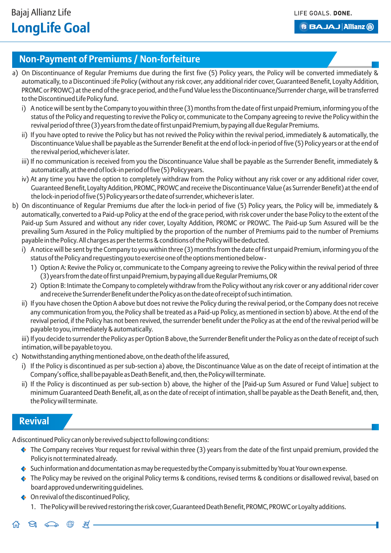## **Non-Payment of Premiums / Non-forfeiture**

- a) On Discontinuance of Regular Premiums due during the first five (5) Policy years, the Policy will be converted immediately & automatically, to a Discontinued :ife Policy (without any risk cover, any additional rider cover, Guaranteed Benefit, Loyalty Addition, PROMC or PROWC) at the end of the grace period, and the Fund Value less the Discontinuance/Surrender charge, will be transferred to the Discontinued Life Policy fund.
	- i) A notice will be sent by the Company to you within three (3) months from the date of first unpaid Premium, informing you of the status of the Policy and requesting to revive the Policy or, communicate to the Company agreeing to revive the Policy within the revival period of three (3) years from the date of first unpaid Premium, by paying all due Regular Premiums.
	- ii) If you have opted to revive the Policy but has not revived the Policy within the revival period, immediately & automatically, the Discontinuance Value shall be payable as the Surrender Benefit at the end of lock-in period of five (5) Policy years or at the end of the revival period, whichever is later.
	- iii) If no communication is received from you the Discontinuance Value shall be payable as the Surrender Benefit, immediately & automatically, at the end of lock-in period of five (5) Policy years.
	- iv) At any time you have the option to completely withdraw from the Policy without any risk cover or any additional rider cover, Guaranteed Benefit, Loyalty Addition, PROMC, PROWC and receive the Discontinuance Value (as Surrender Benefit) at the end of the lock-in period of five (5) Policy years or the date of surrender, whichever is later.
- b) On discontinuance of Regular Premiums due after the lock-in period of five (5) Policy years, the Policy will be, immediately & automatically, converted to a Paid-up Policy at the end of the grace period, with risk cover under the base Policy to the extent of the Paid-up Sum Assured and without any rider cover, Loyalty Addition, PROMC or PROWC. The Paid-up Sum Assured will be the prevailing Sum Assured in the Policy multiplied by the proportion of the number of Premiums paid to the number of Premiums payable in the Policy. All charges as per the terms & conditions of the Policy will be deducted.
	- i) A notice will be sent by the Company to you within three (3) months from the date of first unpaid Premium, informing you of the status of the Policy and requesting you to exercise one of the options mentioned below -
		- 1) Option A: Revive the Policy or, communicate to the Company agreeing to revive the Policy within the revival period of three (3) years from the date of first unpaid Premium, by paying all due Regular Premiums, OR
		- 2) Option B: Intimate the Company to completely withdraw from the Policy without any risk cover or any additional rider cover and receive the Surrender Benefit under the Policy as on the date of receipt of such intimation.
	- ii) If you have chosen the Option A above but does not revive the Policy during the revival period, or the Company does not receive any communication from you, the Policy shall be treated as a Paid-up Policy, as mentioned in section b) above. At the end of the revival period, if the Policy has not been revived, the surrender benefit under the Policy as at the end of the revival period will be payable to you, immediately & automatically.

iii) If you decide to surrender the Policy as per Option B above, the Surrender Benefit under the Policy as on the date of receipt of such intimation, will be payable to you.

- c) Notwithstanding anything mentioned above, on the death of the life assured,
	- i) If the Policy is discontinued as per sub-section a) above, the Discontinuance Value as on the date of receipt of intimation at the Company's office, shall be payable as Death Benefit, and, then, the Policy will terminate.
	- ii) If the Policy is discontinued as per sub-section b) above, the higher of the [Paid-up Sum Assured or Fund Value] subject to minimum Guaranteed Death Benefit, all, as on the date of receipt of intimation, shall be payable as the Death Benefit, and, then, the Policy will terminate.

#### **Revival**

ଇ

奋

A discontinued Policy can only be revived subject to following conditions:

- $\bullet$  The Company receives Your request for revival within three (3) years from the date of the first unpaid premium, provided the Policy is not terminated already.
- Such information and documentation as may be requested by the Company is submitted by You at Your own expense.
- The Policy may be revived on the original Policy terms & conditions, revised terms & conditions or disallowed revival, based on board approved underwriting guidelines.
- On revival of the discontinued Policy,

 $\cancel{\equiv}$ .

1. The Policy will be revived restoring the risk cover, Guaranteed Death Benefit, PROMC, PROWC or Loyalty additions.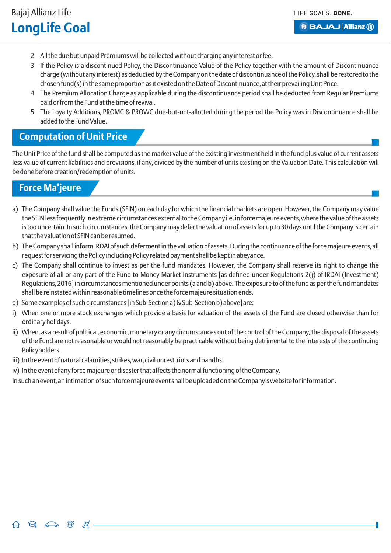- 2. All the due but unpaid Premiums will be collected without charging any interest or fee.
- 3. If the Policy is a discontinued Policy, the Discontinuance Value of the Policy together with the amount of Discontinuance charge (without any interest) as deducted by the Company on the date of discontinuance of the Policy, shall be restored to the chosen fund(s) in the same proportion as it existed on the Date of Discontinuance, at their prevailing Unit Price.
- 4. The Premium Allocation Charge as applicable during the discontinuance period shall be deducted from Regular Premiums paid or from the Fund at the time of revival.
- 5. The Loyalty Additions, PROMC & PROWC due-but-not-allotted during the period the Policy was in Discontinuance shall be added to the Fund Value.

### **Computation of Unit Price**

The Unit Price of the fund shall be computed as the market value of the existing investment held in the fund plus value of current assets less value of current liabilities and provisions, if any, divided by the number of units existing on the Valuation Date. This calculation will be done before creation/redemption of units.

## **Force Ma'jeure**

 $\Theta$   $\curvearrowright$ 

 $\bigoplus$ 

 $\mathbb{R}^+$ 

- a) The Company shall value the Funds (SFIN) on each day for which the financial markets are open. However, the Company may value the SFIN less frequently in extreme circumstances external to the Company i.e. in force majeure events, where the value of the assets is too uncertain. In such circumstances, the Company may defer the valuation of assets for up to 30 days until the Company is certain that the valuation of SFIN can be resumed.
- b) The Company shall inform IRDAI of such deferment in the valuation of assets. During the continuance of the force majeure events, all request for servicing the Policy including Policy related payment shall be kept in abeyance.
- c) The Company shall continue to invest as per the fund mandates. However, the Company shall reserve its right to change the exposure of all or any part of the Fund to Money Market Instruments [as defined under Regulations 2(j) of IRDAI (Investment) Regulations, 2016] in circumstances mentioned under points (a and b) above. The exposure to of the fund as per the fund mandates shall be reinstated within reasonable timelines once the force majeure situation ends.
- d) Some examples of such circumstances [in Sub-Section a) & Sub-Section b) above] are:
- i) When one or more stock exchanges which provide a basis for valuation of the assets of the Fund are closed otherwise than for ordinary holidays.
- ii) When, as a result of political, economic, monetary or any circumstances out of the control of the Company, the disposal of the assets of the Fund are not reasonable or would not reasonably be practicable without being detrimental to the interests of the continuing Policyholders.
- iii) In the event of natural calamities, strikes, war, civil unrest, riots and bandhs.
- iv) In the event of any force majeure or disaster that affects the normal functioning of the Company.

In such an event, an intimation of such force majeure event shall be uploaded on the Company's website for information.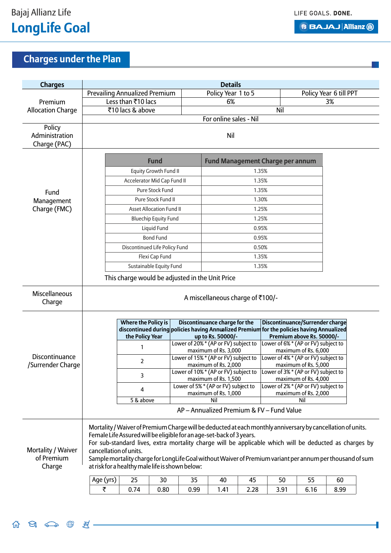$\begin{picture}(160,170) \put(0,0){\makebox(0,0){$A$}} \put(15,0){\makebox(0,0){$B$}} \put(15,0){\makebox(0,0){$B$}} \put(15,0){\makebox(0,0){$B$}} \put(15,0){\makebox(0,0){$B$}} \put(15,0){\makebox(0,0){$B$}} \put(15,0){\makebox(0,0){$B$}} \put(15,0){\makebox(0,0){$B$}} \put(15,0){\makebox(0,0){$B$}} \put(15,0){\makebox(0,0){$B$}} \put(15,0){$ 

**B BAJAJ Allianz (ii)** 

ł

# **Charges under the Plan**

| <b>Charges</b>                             | <b>Details</b>                                                                                                                                                                                                                                                                                                                                                                                                                                                                          |                                                                                                                                            |                                 |      |                                                                                                    |       |                                         |                                                                                     |                        |  |
|--------------------------------------------|-----------------------------------------------------------------------------------------------------------------------------------------------------------------------------------------------------------------------------------------------------------------------------------------------------------------------------------------------------------------------------------------------------------------------------------------------------------------------------------------|--------------------------------------------------------------------------------------------------------------------------------------------|---------------------------------|------|----------------------------------------------------------------------------------------------------|-------|-----------------------------------------|-------------------------------------------------------------------------------------|------------------------|--|
|                                            |                                                                                                                                                                                                                                                                                                                                                                                                                                                                                         | <b>Prevailing Annualized Premium</b>                                                                                                       |                                 |      | Policy Year 1 to 5                                                                                 |       |                                         |                                                                                     | Policy Year 6 till PPT |  |
| Premium                                    |                                                                                                                                                                                                                                                                                                                                                                                                                                                                                         | Less than ₹10 lacs                                                                                                                         |                                 |      | 6%                                                                                                 |       |                                         |                                                                                     | 3%                     |  |
| <b>Allocation Charge</b>                   |                                                                                                                                                                                                                                                                                                                                                                                                                                                                                         | ₹10 lacs & above                                                                                                                           |                                 |      |                                                                                                    |       | Nil                                     |                                                                                     |                        |  |
|                                            |                                                                                                                                                                                                                                                                                                                                                                                                                                                                                         |                                                                                                                                            |                                 |      | For online sales - Nil                                                                             |       |                                         |                                                                                     |                        |  |
| Policy<br>Administration<br>Charge (PAC)   |                                                                                                                                                                                                                                                                                                                                                                                                                                                                                         | Nil                                                                                                                                        |                                 |      |                                                                                                    |       |                                         |                                                                                     |                        |  |
|                                            |                                                                                                                                                                                                                                                                                                                                                                                                                                                                                         | <b>Fund</b>                                                                                                                                |                                 |      |                                                                                                    |       | <b>Fund Management Charge per annum</b> |                                                                                     |                        |  |
|                                            |                                                                                                                                                                                                                                                                                                                                                                                                                                                                                         |                                                                                                                                            | Equity Growth Fund II           |      |                                                                                                    | 1.35% |                                         |                                                                                     |                        |  |
|                                            |                                                                                                                                                                                                                                                                                                                                                                                                                                                                                         | Accelerator Mid Cap Fund II                                                                                                                |                                 |      |                                                                                                    | 1.35% |                                         |                                                                                     |                        |  |
| Fund                                       |                                                                                                                                                                                                                                                                                                                                                                                                                                                                                         |                                                                                                                                            | Pure Stock Fund                 |      |                                                                                                    | 1.35% |                                         |                                                                                     |                        |  |
| Management                                 |                                                                                                                                                                                                                                                                                                                                                                                                                                                                                         |                                                                                                                                            | Pure Stock Fund II              |      |                                                                                                    | 1.30% |                                         |                                                                                     |                        |  |
| Charge (FMC)                               |                                                                                                                                                                                                                                                                                                                                                                                                                                                                                         |                                                                                                                                            | <b>Asset Allocation Fund II</b> |      |                                                                                                    | 1.25% |                                         |                                                                                     |                        |  |
|                                            |                                                                                                                                                                                                                                                                                                                                                                                                                                                                                         |                                                                                                                                            | <b>Bluechip Equity Fund</b>     |      |                                                                                                    | 1.25% |                                         |                                                                                     |                        |  |
|                                            |                                                                                                                                                                                                                                                                                                                                                                                                                                                                                         |                                                                                                                                            | Liquid Fund                     |      |                                                                                                    | 0.95% |                                         |                                                                                     |                        |  |
|                                            |                                                                                                                                                                                                                                                                                                                                                                                                                                                                                         |                                                                                                                                            | <b>Bond Fund</b>                |      |                                                                                                    | 0.95% |                                         |                                                                                     |                        |  |
|                                            |                                                                                                                                                                                                                                                                                                                                                                                                                                                                                         | Discontinued Life Policy Fund                                                                                                              |                                 |      |                                                                                                    | 0.50% |                                         |                                                                                     |                        |  |
|                                            |                                                                                                                                                                                                                                                                                                                                                                                                                                                                                         | Flexi Cap Fund                                                                                                                             |                                 |      | 1.35%                                                                                              |       |                                         |                                                                                     |                        |  |
|                                            |                                                                                                                                                                                                                                                                                                                                                                                                                                                                                         | Sustainable Equity Fund                                                                                                                    |                                 |      | 1.35%                                                                                              |       |                                         |                                                                                     |                        |  |
|                                            | This charge would be adjusted in the Unit Price                                                                                                                                                                                                                                                                                                                                                                                                                                         |                                                                                                                                            |                                 |      |                                                                                                    |       |                                         |                                                                                     |                        |  |
| <b>Miscellaneous</b><br>Charge             | A miscellaneous charge of ₹100/-                                                                                                                                                                                                                                                                                                                                                                                                                                                        |                                                                                                                                            |                                 |      |                                                                                                    |       |                                         |                                                                                     |                        |  |
|                                            |                                                                                                                                                                                                                                                                                                                                                                                                                                                                                         | <b>Where the Policy is</b><br>discontinued during policies having Annualized Premium for the policies having Annualized<br>the Policy Year |                                 |      | Discontinuance charge for the<br>up to Rs. 50000/-                                                 |       | Discontinuance/Surrender charge         | Premium above Rs. 50000/-                                                           |                        |  |
|                                            |                                                                                                                                                                                                                                                                                                                                                                                                                                                                                         | 1                                                                                                                                          |                                 |      | Lower of 20% * (AP or FV) subject to<br>Lower of 6%* (AP or FV) subject to<br>maximum of Rs. 3,000 |       |                                         |                                                                                     |                        |  |
| Discontinuance<br>/Surrender Charge        |                                                                                                                                                                                                                                                                                                                                                                                                                                                                                         | $\overline{2}$                                                                                                                             |                                 |      | Lower of 15% * (AP or FV) subject to<br>maximum of Rs. 2,000                                       |       |                                         | maximum of Rs. 6,000<br>Lower of 4% * (AP or FV) subject to<br>maximum of Rs. 5,000 |                        |  |
|                                            |                                                                                                                                                                                                                                                                                                                                                                                                                                                                                         | 3                                                                                                                                          |                                 |      | Lower of 10% * (AP or FV) subject to<br>maximum of Rs. 1,500                                       |       | Lower of 3%* (AP or FV) subject to      | maximum of Rs. 4,000                                                                |                        |  |
|                                            |                                                                                                                                                                                                                                                                                                                                                                                                                                                                                         | 4                                                                                                                                          |                                 |      | Lower of 5% * (AP or FV) subject to<br>maximum of Rs. 1,000                                        |       | Lower of 2%* (AP or FV) subject to      |                                                                                     |                        |  |
|                                            |                                                                                                                                                                                                                                                                                                                                                                                                                                                                                         | 5 & above                                                                                                                                  |                                 |      | maximum of Rs. 2,000<br>Nil<br>Nil                                                                 |       |                                         |                                                                                     |                        |  |
|                                            | AP - Annualized Premium & FV - Fund Value                                                                                                                                                                                                                                                                                                                                                                                                                                               |                                                                                                                                            |                                 |      |                                                                                                    |       |                                         |                                                                                     |                        |  |
| Mortality / Waiver<br>of Premium<br>Charge | Mortality / Waiver of Premium Charge will be deducted at each monthly anniversary by cancellation of units.<br>Female Life Assured will be eligible for an age-set-back of 3 years.<br>For sub-standard lives, extra mortality charge will be applicable which will be deducted as charges by<br>cancellation of units.<br>Sample mortality charge for LongLife Goal without Waiver of Premium variant per annum per thousand of sum<br>at risk for a healthy male life is shown below: |                                                                                                                                            |                                 |      |                                                                                                    |       |                                         |                                                                                     |                        |  |
|                                            | Age (yrs)                                                                                                                                                                                                                                                                                                                                                                                                                                                                               | 25                                                                                                                                         | 30                              | 35   | 40                                                                                                 | 45    | 50                                      | 55                                                                                  | 60                     |  |
|                                            | ₹                                                                                                                                                                                                                                                                                                                                                                                                                                                                                       | 0.74                                                                                                                                       | 0.80                            | 0.99 | 1.41                                                                                               | 2.28  | 3.91                                    | 6.16                                                                                | 8.99                   |  |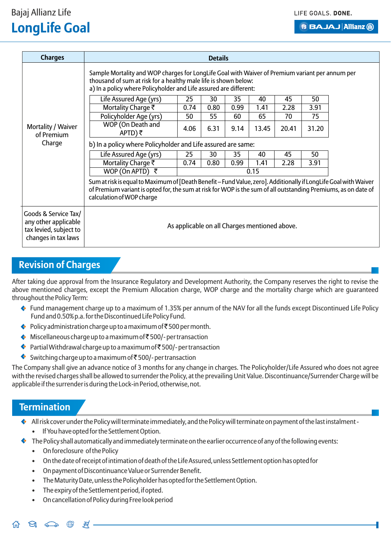#### LIFE GOALS, DONE.

#### **B BAJAJ Allianz (ii)**

# Bajaj Allianz Life **LongLife Goal**

| <b>Charges</b>                                                                                | <b>Details</b>                                                                                                                                                                                                                                                  |                                                              |      |      |       |       |       |  |  |  |
|-----------------------------------------------------------------------------------------------|-----------------------------------------------------------------------------------------------------------------------------------------------------------------------------------------------------------------------------------------------------------------|--------------------------------------------------------------|------|------|-------|-------|-------|--|--|--|
|                                                                                               | Sample Mortality and WOP charges for LongLife Goal with Waiver of Premium variant per annum per<br>thousand of sum at risk for a healthy male life is shown below:<br>a) In a policy where Policyholder and Life assured are different:                         |                                                              |      |      |       |       |       |  |  |  |
|                                                                                               | Life Assured Age (yrs)                                                                                                                                                                                                                                          | 25                                                           | 30   | 35   | 40    | 45    | 50    |  |  |  |
|                                                                                               | Mortality Charge ₹                                                                                                                                                                                                                                              | 0.74                                                         | 0.80 | 0.99 | 1.41  | 2.28  | 3.91  |  |  |  |
|                                                                                               | Policyholder Age (yrs)                                                                                                                                                                                                                                          | 50                                                           | 55   | 60   | 65    | 70    | 75    |  |  |  |
| Mortality / Waiver<br>of Premium                                                              | WOP (On Death and<br>APTD) $\bar{z}$                                                                                                                                                                                                                            | 4.06                                                         | 6.31 | 9.14 | 13.45 | 20.41 | 31.20 |  |  |  |
| Charge                                                                                        |                                                                                                                                                                                                                                                                 | b) In a policy where Policyholder and Life assured are same: |      |      |       |       |       |  |  |  |
|                                                                                               | Life Assured Age (yrs)                                                                                                                                                                                                                                          | 25                                                           | 30   | 35   | 40    | 45    | 50    |  |  |  |
|                                                                                               | Mortality Charge ₹                                                                                                                                                                                                                                              |                                                              | 0.80 | 0.99 | 1.41  | 2.28  | 3.91  |  |  |  |
|                                                                                               | WOP (On APTD) $\bar{z}$                                                                                                                                                                                                                                         |                                                              |      | 0.15 |       |       |       |  |  |  |
|                                                                                               | Sum at risk is equal to Maximum of [Death Benefit - Fund Value, zero]. Additionally if LongLife Goal with Waiver<br>of Premium variant is opted for, the sum at risk for WOP is the sum of all outstanding Premiums, as on date of<br>calculation of WOP charge |                                                              |      |      |       |       |       |  |  |  |
| Goods & Service Tax/<br>any other applicable<br>tax levied, subject to<br>changes in tax laws | As applicable on all Charges mentioned above.                                                                                                                                                                                                                   |                                                              |      |      |       |       |       |  |  |  |

## **Revision of Charges**

After taking due approval from the Insurance Regulatory and Development Authority, the Company reserves the right to revise the above mentioned charges, except the Premium Allocation charge, WOP charge and the mortality charge which are guaranteed throughout the Policy Term:

- ◆ Fund management charge up to a maximum of 1.35% per annum of the NAV for all the funds except Discontinued Life Policy Fund and 0.50% p.a. for the Discontinued Life Policy Fund.
- $\leftrightarrow$  Policy administration charge up to a maximum of  $\bar{\tau}$  500 per month.
- $\leftrightarrow$  Miscellaneous charge up to a maximum of  $\bar{\tau}$ 500/- per transaction
- ◆ Partial Withdrawal charge up to a maximum of  $\bar{\bar{\xi}}$  500/- per transaction
- Switching charge up to a maximum of  $\bar{\bar{\xi}}$  500/-per transaction

The Company shall give an advance notice of 3 months for any change in charges. The Policyholder/Life Assured who does not agree with the revised charges shall be allowed to surrender the Policy, at the prevailing Unit Value. Discontinuance/Surrender Charge will be applicable if the surrender is during the Lock-in Period, otherwise, not.

### **Termination**

 $\Theta$   $\curvearrowright$ 

- $\bullet$  All risk cover under the Policy will terminate immediately, and the Policy will terminate on payment of the last instalment -
	- If You have opted for the Settlement Option.
- ♦ The Policy shall automatically and immediately terminate on the earlier occurrence of any of the following events:
	- On foreclosure of the Policy
	- On the date of receipt of intimation of death of the Life Assured, unless Settlement option has opted for
	- On payment of Discontinuance Value or Surrender Benefit.
	- The Maturity Date, unless the Policyholder has opted for the Settlement Option.
	- The expiry of the Settlement period, if opted.

.丼.

• On cancellation of Policy during Free look period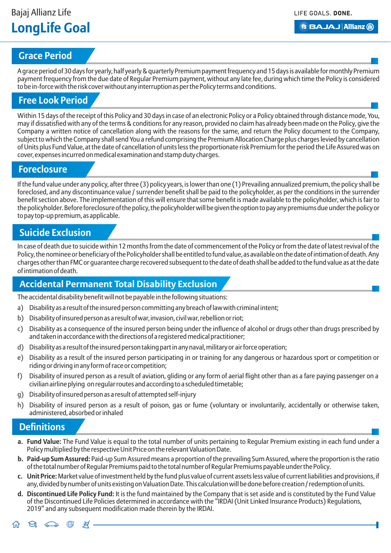### **Grace Period**

A grace period of 30 days for yearly, half yearly & quarterly Premium payment frequency and 15 days is available for monthly Premium payment frequency from the due date of Regular Premium payment, without any late fee, during which time the Policy is considered to be in-force with the risk cover without any interruption as per the Policy terms and conditions.

## **Free Look Period**

Within 15 days of the receipt of this Policy and 30 days in case of an electronic Policy or a Policy obtained through distance mode, You, may if dissatisfied with any of the terms & conditions for any reason, provided no claim has already been made on the Policy, give the Company a written notice of cancellation along with the reasons for the same, and return the Policy document to the Company, subject to which the Company shall send You a refund comprising the Premium Allocation Charge plus charges levied by cancellation of Units plus Fund Value, at the date of cancellation of units less the proportionate risk Premium for the period the Life Assured was on cover, expenses incurred on medical examination and stamp duty charges.

### **Foreclosure**

If the fund value under any policy, after three (3) policy years, is lower than one (1) Prevailing annualized premium, the policy shall be foreclosed, and any discontinuance value / surrender benefit shall be paid to the policyholder, as per the conditions in the surrender benefit section above. The implementation of this will ensure that some benefit is made available to the policyholder, which is fair to the policyholder. Before foreclosure of the policy, the policyholder will be given the option to pay any premiums due under the policy or to pay top-up premium, as applicable.

## **Suicide Exclusion**

In case of death due to suicide within 12 months from the date of commencement of the Policy or from the date of latest revival of the Policy, the nominee or beneficiary of the Policyholder shall be entitled to fund value, as available on the date of intimation of death. Any charges other than FMC or guarantee charge recovered subsequent to the date of death shall be added to the fund value as at the date of intimation of death.

## **Accidental Permanent Total Disability Exclusion**

The accidental disability benefit will not be payable in the following situations:

- a) Disability as a result of the insured person committing any breach of law with criminal intent;
- b) Disability of insured person as a result of war, invasion, civil war, rebellion or riot;
- c) Disability as a consequence of the insured person being under the influence of alcohol or drugs other than drugs prescribed by and taken in accordance with the directions of a registered medical practitioner;
- d) Disability as a result of the insured person taking part in any naval, military or air force operation;
- e) Disability as a result of the insured person participating in or training for any dangerous or hazardous sport or competition or riding or driving in any form of race or competition;
- f) Disability of insured person as a result of aviation, gliding or any form of aerial flight other than as a fare paying passenger on a civilian airline plying on regular routes and according to a scheduled timetable;
- g) Disability of insured person as a result of attempted self-injury
- h) Disability of insured person as a result of poison, gas or fume (voluntary or involuntarily, accidentally or otherwise taken, administered, absorbed or inhaled

### **Definitions**

- **a. Fund Value:** The Fund Value is equal to the total number of units pertaining to Regular Premium existing in each fund under a Policy multiplied by the respective Unit Price on the relevant Valuation Date.
- **b. Paid-up Sum Assured:** Paid-up Sum Assured means a proportion of the prevailing Sum Assured, where the proportion is the ratio of the total number of Regular Premiums paid to the total number of Regular Premiums payable under the Policy.
- **c. Unit Price:** Market value of investment held by the fund plus value of current assets less value of current liabilities and provisions, if any, divided by number of units existing on Valuation Date. This calculation will be done before creation / redemption of units.
- **d. Discontinued Life Policy Fund:** It is the fund maintained by the Company that is set aside and is constituted by the Fund Value of the Discontinued Life Policies determined in accordance with the "IRDAI (Unit Linked Insurance Products) Regulations, 2019" and any subsequent modification made therein by the IRDAI.

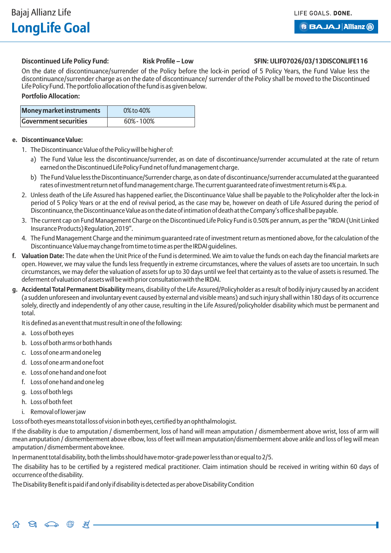#### Discontinued Life Policy Fund: Risk Profile – Low SFIN: ULIF07026/03/13DISCONLIFE116

On the date of discontinuance/surrender of the Policy before the lock-in period of 5 Policy Years, the Fund Value less the discontinuance/surrender charge as on the date of discontinuance/ surrender of the Policy shall be moved to the Discontinued Life Policy Fund. The portfolio allocation of the fund is as given below.

#### **Portfolio Allocation:**

| <b>Money market instruments</b> | 0% to 40% |
|---------------------------------|-----------|
| <b>Government securities</b>    | 60%-100%  |

#### **e. Discontinuance Value:**

- 1. The Discontinuance Value of the Policy will be higher of:
	- a) The Fund Value less the discontinuance/surrender, as on date of discontinuance/surrender accumulated at the rate of return earned on the Discontinued Life Policy Fund net of fund management charge.
	- b) The Fund Value less the Discontinuance/Surrender charge, as on date of discontinuance/surrender accumulated at the guaranteed rates of investment return net of fund management charge. The current guaranteed rate of investment return is 4% p.a.
- 2. Unless death of the Life Assured has happened earlier, the Discontinuance Value shall be payable to the Policyholder after the lock-in period of 5 Policy Years or at the end of revival period, as the case may be, however on death of Life Assured during the period of Discontinuance, the Discontinuance Value as on the date of intimation of death at the Company's office shall be payable.
- 3. The current cap on Fund Management Charge on the Discontinued Life Policy Fund is 0.50% per annum, as per the "IRDAI (Unit Linked Insurance Products) Regulation, 2019".
- 4. The Fund Management Charge and the minimum guaranteed rate of investment return as mentioned above, for the calculation of the Discontinuance Value may change from time to time as per the IRDAI guidelines.
- **f. Valuation Date:** The date when the Unit Price of the Fund is determined. We aim to value the funds on each day the financial markets are open. However, we may value the funds less frequently in extreme circumstances, where the values of assets are too uncertain. In such circumstances, we may defer the valuation of assets for up to 30 days until we feel that certainty as to the value of assets is resumed. The deferment of valuation of assets will be with prior consultation with the IRDAI.
- **g. Accidental Total Permanent Disability** means, disability of the Life Assured/Policyholder as a result of bodily injury caused by an accident (a sudden unforeseen and involuntary event caused by external and visible means) and such injury shall within 180 days of its occurrence solely, directly and independently of any other cause, resulting in the Life Assured/policyholder disability which must be permanent and total.

It is defined as an event that must result in one of the following:

- a. Loss of both eyes
- b. Loss of both arms or both hands
- c. Loss of one arm and one leg
- d. Loss of one arm and one foot
- e. Loss of one hand and one foot
- f. Loss of one hand and one leg
- g. Loss of both legs
- h. Loss of both feet
- i. Removal of lower jaw

Loss of both eyes means total loss of vision in both eyes, certified by an ophthalmologist.

If the disability is due to amputation / dismemberment, loss of hand will mean amputation / dismemberment above wrist, loss of arm will mean amputation / dismemberment above elbow, loss of feet will mean amputation/dismemberment above ankle and loss of leg will mean amputation / dismemberment above knee.

In permanent total disability, both the limbs should have motor-grade power less than or equal to 2/5.

The disability has to be certified by a registered medical practitioner. Claim intimation should be received in writing within 60 days of occurrence of the disability.

The Disability Benefit is paid if and only if disability is detected as per above Disability Condition

#### $\Theta$   $\Longleftrightarrow$   $\oplus$   $\oplus$   $\oplus$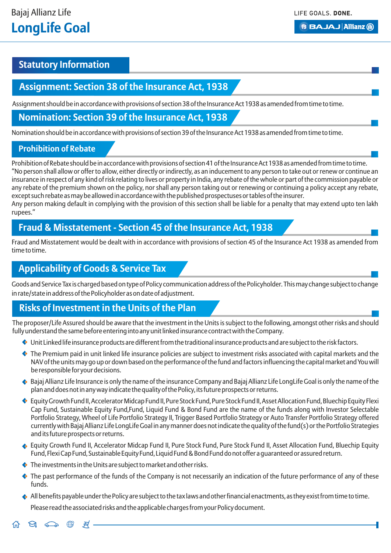## **Statutory Information**

### **Assignment: Section 38 of the Insurance Act, 1938**

Assignment should be in accordance with provisions of section 38 of the Insurance Act 1938 as amended from time to time.

#### **Nomination: Section 39 of the Insurance Act, 1938**

Nomination should be in accordance with provisions of section 39 of the Insurance Act 1938 as amended from time to time.

#### **Prohibition of Rebate**

Prohibition of Rebate should be in accordance with provisions of section 41 of the Insurance Act 1938 as amended from time to time. "No person shall allow or offer to allow, either directly or indirectly, as an inducement to any person to take out or renew or continue an insurance in respect of any kind of risk relating to lives or property in India, any rebate of the whole or part of the commission payable or any rebate of the premium shown on the policy, nor shall any person taking out or renewing or continuing a policy accept any rebate, except such rebate as may be allowed in accordance with the published prospectuses or tables of the insurer. Any person making default in complying with the provision of this section shall be liable for a penalty that may extend upto ten lakh

rupees."

## **Fraud & Misstatement - Section 45 of the Insurance Act, 1938**

Fraud and Misstatement would be dealt with in accordance with provisions of section 45 of the Insurance Act 1938 as amended from time to time.

## **Applicability of Goods & Service Tax**

Goods and Service Tax is charged based on type of Policy communication address of the Policyholder. This may change subject to change in rate/state in address of the Policyholder as on date of adjustment.

## **Risks of Investment in the Units of the Plan**

The proposer/Life Assured should be aware that the investment in the Units is subject to the following, amongst other risks and should fully understand the same before entering into any unit linked insurance contract with the Company.

- Unit Linked life insurance products are different from the traditional insurance products and are subject to the risk factors.
- The Premium paid in unit linked life insurance policies are subject to investment risks associated with capital markets and the NAV of the units may go up or down based on the performance of the fund and factors influencing the capital market and You will be responsible for your decisions.
- $\bullet$  Bajaj Allianz Life Insurance is only the name of the insurance Company and Bajaj Allianz Life LongLife Goal is only the name of the plan and does not in any way indicate the quality of the Policy, its future prospects or returns.
- Equity Growth Fund II, Accelerator Midcap Fund II, Pure Stock Fund, Pure Stock Fund II, Asset Allocation Fund, Bluechip Equity Flexi Cap Fund, Sustainable Equity Fund,Fund, Liquid Fund & Bond Fund are the name of the funds along with Investor Selectable Portfolio Strategy, Wheel of Life Portfolio Strategy II, Trigger Based Portfolio Strategy or Auto Transfer Portfolio Strategy offered currently with Bajaj Allianz Life LongLife Goal in any manner does not indicate the quality of the fund(s) or the Portfolio Strategies and its future prospects or returns.
- Equity Growth Fund II, Accelerator Midcap Fund II, Pure Stock Fund, Pure Stock Fund II, Asset Allocation Fund, Bluechip Equity Fund, Flexi Cap Fund, Sustainable Equity Fund, Liquid Fund & Bond Fund do not offer a guaranteed or assured return.
- The investments in the Units are subject to market and other risks.
- $\bullet$  The past performance of the funds of the Company is not necessarily an indication of the future performance of any of these funds.
- $\bullet$  All benefits payable under the Policy are subject to the tax laws and other financial enactments, as they exist from time to time. • Please read the associated risks and the applicable charges from your Policy document.

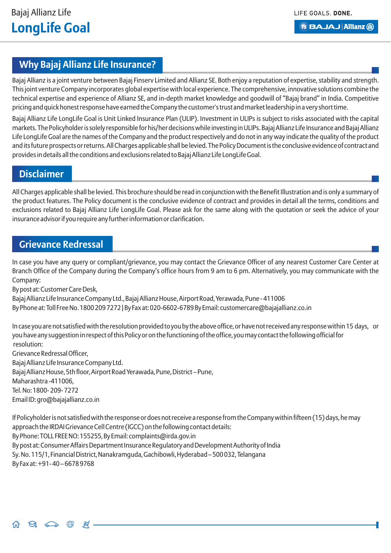LIFE GOALS, DONE.

**BBAJAJ Allianz (ii)** 

## **Why Bajaj Allianz Life Insurance?**

Bajaj Allianz is a joint venture between Bajaj Finserv Limited and Allianz SE. Both enjoy a reputation of expertise, stability and strength. This joint venture Company incorporates global expertise with local experience. The comprehensive, innovative solutions combine the technical expertise and experience of Allianz SE, and in-depth market knowledge and goodwill of "Bajaj brand" in India. Competitive pricing and quick honest response have earned the Company the customer's trust and market leadership in a very short time.

Bajaj Allianz Life LongLife Goal is Unit Linked Insurance Plan (ULIP). Investment in ULIPs is subject to risks associated with the capital markets. The Policyholder is solely responsible for his/her decisions while investing in ULIPs. Bajaj Allianz Life Insurance and Bajaj Allianz Life LongLife Goal are the names of the Company and the product respectively and do not in any way indicate the quality of the product and its future prospects or returns. All Charges applicable shall be levied. The Policy Document is the conclusive evidence of contract and provides in details all the conditions and exclusions related to Bajaj Allianz Life LongLife Goal.

## **Disclaimer**

All Charges applicable shall be levied. This brochure should be read in conjunction with the Benefit Illustration and is only a summary of the product features. The Policy document is the conclusive evidence of contract and provides in detail all the terms, conditions and exclusions related to Bajaj Allianz Life LongLife Goal. Please ask for the same along with the quotation or seek the advice of your insurance advisor if you require any further information or clarification.

## **Grievance Redressal**

In case you have any query or compliant/grievance, you may contact the Grievance Officer of any nearest Customer Care Center at Branch Office of the Company during the Company's office hours from 9 am to 6 pm. Alternatively, you may communicate with the Company:

By post at: Customer Care Desk,

Bajaj Allianz Life Insurance Company Ltd., Bajaj Allianz House, Airport Road, Yerawada, Pune - 411006 By Phone at: Toll Free No. 1800 209 7272 | By Fax at: 020-6602-6789 By Email: customercare@bajajallianz.co.in

In case you are not satisfied with the resolution provided to you by the above office, or have not received any response within 15 days, or you have any suggestion in respect of this Policy or on the functioning of the office, you may contact the following official for resolution:

Grievance Redressal Officer, Bajaj Allianz Life Insurance Company Ltd. Bajaj Allianz House, 5th floor, Airport Road Yerawada, Pune, District – Pune, Maharashtra -411006, Tel. No: 1800- 209- 7272 Email ID: gro@bajajallianz.co.in

If Policyholder is not satisfied with the response or does not receive a response from the Company within fifteen (15) days, he may approach the IRDAI Grievance Cell Centre (IGCC) on the following contact details: By Phone: TOLL FREE NO: 155255, By Email: complaints@irda.gov.in By post at: Consumer Affairs Department Insurance Regulatory and Development Authority of India Sy. No. 115/1, Financial District, Nanakramguda, Gachibowli, Hyderabad – 500 032, Telangana By Fax at: +91- 40 – 6678 9768

 $\Theta_1 \circledcirc \bullet \circledast \circledast$